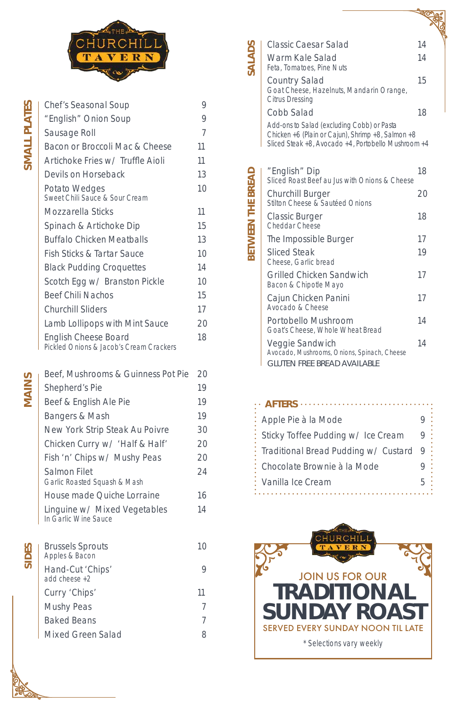| <b>Chef's Seasonal Soup</b>                                            | 9              |
|------------------------------------------------------------------------|----------------|
| "English" Onion Soup                                                   | 9              |
| <b>Sausage Roll</b>                                                    | $\overline{7}$ |
| <b>Bacon or Broccoli Mac &amp; Cheese</b>                              | 11             |
| Artichoke Fries w/ Truffle Aioli                                       | 11             |
| Devils on Horseback                                                    | 13             |
| <b>Potato Wedges</b><br>Sweet Chili Sauce & Sour Cream                 | 10             |
| <b>Mozzarella Sticks</b>                                               | 11             |
| Spinach & Artichoke Dip                                                | 15             |
| <b>Buffalo Chicken Meatballs</b>                                       | 13             |
| <b>Fish Sticks &amp; Tartar Sauce</b>                                  | 10             |
| <b>Black Pudding Croquettes</b>                                        | 14             |
| Scotch Egg w/ Branston Pickle                                          | 10             |
| <b>Beef Chili Nachos</b>                                               | 15             |
| <b>Churchill Sliders</b>                                               | 17             |
| <b>Lamb Lollipops with Mint Sauce</b>                                  | 20             |
| <b>English Cheese Board</b><br>Pickled Onions & Jacob's Cream Crackers | 18             |

| Beef, Mushrooms & Guinness Pot Pie                   | 20 |
|------------------------------------------------------|----|
| <b>Shepherd's Pie</b>                                | 19 |
| Beef & English Ale Pie                               | 19 |
| <b>Bangers &amp; Mash</b>                            | 19 |
| <b>New York Strip Steak Au Poivre</b>                | 30 |
| Chicken Curry w/ 'Half & Half'                       | 20 |
| Fish 'n' Chips w/ Mushy Peas                         | 20 |
| <b>Salmon Filet</b><br>Garlic Roasted Squash & Mash  | 24 |
| <b>House made Quiche Lorraine</b>                    | 16 |
| Linguine w/ Mixed Vegetables<br>In Carlie Mino Sauco | 14 |

**NIAINS** 





 $\mathbb{R}$ 

Brussels Sprouts 10 *Apples & Bacon*

Hand-Cut 'Chips' 9 *add cheese +2*

Curry 'Chips' 11 Mushy Peas 7

Baked Beans 7

Mixed Green Salad 8

| <b>Classic Caesar Salad</b>                                                                                                                            | 14 |
|--------------------------------------------------------------------------------------------------------------------------------------------------------|----|
| Warm Kale Salad<br>Feta, Tomatoes, Pine Nuts                                                                                                           | 14 |
| <b>Country Salad</b><br>Goat Cheese, Hazelnuts, Mandarin Orange,<br><b>Citrus Dressing</b>                                                             | 15 |
| <b>Cobb Salad</b>                                                                                                                                      | 18 |
| Add-ons to Salad (excluding Cobb) or Pasta<br>Chicken +6 (Plain or Cajun), Shrimp +8, Salmon +8<br>Sliced Steak +8, Avocado +4, Portobello Mushroom +4 |    |
| "English" Dip<br>Sliced Roast Beef au Jus with Onions & Cheese                                                                                         | 18 |
| <b>Churchill Burger</b><br>Stilton Cheese & Sautéed Onions                                                                                             | 20 |
| <b>Classic Burger</b><br>Cheddar Cheese                                                                                                                | 18 |
| The Impossible Burger                                                                                                                                  | 17 |
| <b>Sliced Steak</b><br>Cheese, Garlic bread                                                                                                            | 19 |
| <b>Grilled Chicken Sandwich</b><br>Bacon & Chipotle Mayo                                                                                               | 17 |
| Cajun Chicken Panini<br>Avocado & Cheese                                                                                                               | 17 |
| <b>Portobello Mushroom</b><br>Goat's Cheese, Whole Wheat Bread                                                                                         | 14 |
| Veggie Sandwich<br>Avocado, Mushrooms, Onions, Spinach, Cheese<br><b>GLUTEN FREE BREAD AVAILABLE</b>                                                   | 14 |

**<u> 1909g</u>** 

**SALADS**

**BETWEEN THE BREAD**

 $\ddot{\bullet}$   $\ddot{\bullet}$   $\ddot{\bullet}$ 

BETWEEN THE BREAD

| Apple Pie à la Mode                  |                      |
|--------------------------------------|----------------------|
| Sticky Toffee Pudding w/ Ice Cream   | $\ddot{\phantom{a}}$ |
| Traditional Bread Pudding w/ Custard | $\ddot{\cdot}$<br>9  |
| Chocolate Brownie à la Mode          |                      |
| <b>Vanilla Ice Cream</b>             | h                    |
|                                      |                      |



*\*Selections vary weekly*